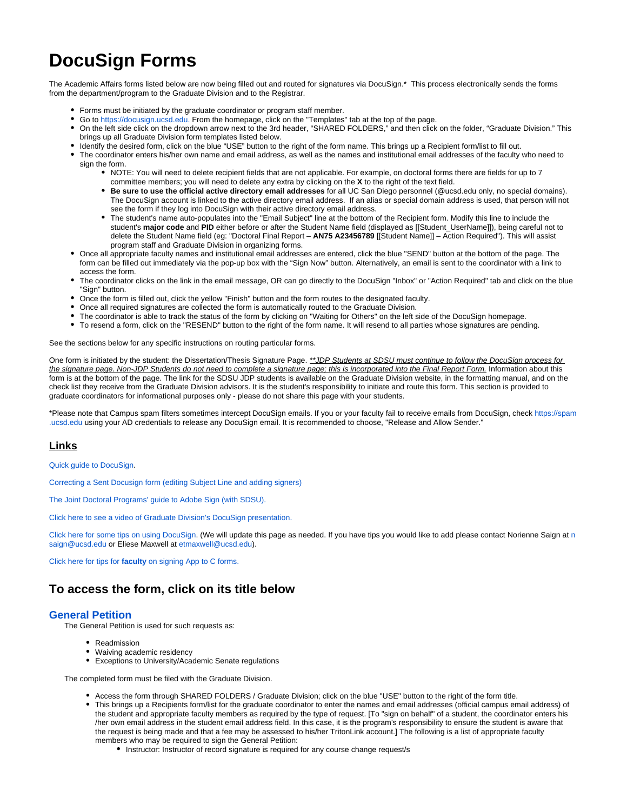# **DocuSign Forms**

The Academic Affairs forms listed below are now being filled out and routed for signatures via DocuSign.\* This process electronically sends the forms from the department/program to the Graduate Division and to the Registrar.

- Forms must be initiated by the graduate coordinator or program staff member.
- Go to<https://docusign.ucsd.edu.>From the homepage, click on the "Templates" tab at the top of the page.
- On the left side click on the dropdown arrow next to the 3rd header, "SHARED FOLDERS," and then click on the folder, "Graduate Division." This brings up all Graduate Division form templates listed below.
- Identify the desired form, click on the blue "USE" button to the right of the form name. This brings up a Recipient form/list to fill out.
- The coordinator enters his/her own name and email address, as well as the names and institutional email addresses of the faculty who need to sign the form.
	- NOTE: You will need to delete recipient fields that are not applicable. For example, on doctoral forms there are fields for up to 7 committee members; you will need to delete any extra by clicking on the **X** to the right of the text field.
	- **Be sure to use the official active directory email addresses** for all UC San Diego personnel (@ucsd.edu only, no special domains). The DocuSign account is linked to the active directory email address. If an alias or special domain address is used, that person will not see the form if they log into DocuSign with their active directory email address.
	- The student's name auto-populates into the "Email Subject" line at the bottom of the Recipient form. Modify this line to include the student's **major code** and **PID** either before or after the Student Name field (displayed as [[Student\_UserName]]), being careful not to delete the Student Name field (eg: "Doctoral Final Report – **AN75 A23456789** [[Student Name]] – Action Required"). This will assist program staff and Graduate Division in organizing forms.
- Once all appropriate faculty names and institutional email addresses are entered, click the blue "SEND" button at the bottom of the page. The form can be filled out immediately via the pop-up box with the "Sign Now" button. Alternatively, an email is sent to the coordinator with a link to access the form.
- The coordinator clicks on the link in the email message, OR can go directly to the DocuSign "Inbox" or "Action Required" tab and click on the blue "Sign" button.
- Once the form is filled out, click the yellow "Finish" button and the form routes to the designated faculty.
- Once all required signatures are collected the form is automatically routed to the Graduate Division.
- The coordinator is able to track the status of the form by clicking on "Waiting for Others" on the left side of the DocuSign homepage.
- To resend a form, click on the "RESEND" button to the right of the form name. It will resend to all parties whose signatures are pending.

See the sections below for any specific instructions on routing particular forms.

One form is initiated by the student: the Dissertation/Thesis Signature Page. \*\* JDP Students at SDSU must continue to follow the DocuSign process for the signature page. Non-JDP Students do not need to complete a signature page; this is incorporated into the Final Report Form. Information about this form is at the bottom of the page. The link for the SDSU JDP students is available on the Graduate Division website, in the formatting manual, and on the check list they receive from the Graduate Division advisors. It is the student's responsibility to initiate and route this form. This section is provided to graduate coordinators for informational purposes only - please do not share this page with your students.

\*Please note that Campus spam filters sometimes intercept DocuSign emails. If you or your faculty fail to receive emails from DocuSign, check [https://spam](https://spam.ucsd.edu) [.ucsd.edu](https://spam.ucsd.edu) using your AD credentials to release any DocuSign email. It is recommended to choose, "Release and Allow Sender."

# **Links**

[Quick guide to DocuSign.](https://collab.ucsd.edu/download/attachments/91097394/UPDATED%20Docusign%20Quick%20Guide.pdf?version=4&modificationDate=1594142835000&api=v2)

[Correcting a Sent Docusign form \(editing Subject Line and adding signers\)](https://collab.ucsd.edu/download/attachments/91097394/CorrectingSentDocusignForm.pdf?version=1&modificationDate=1643068289000&api=v2)

[The Joint Doctoral Programs' guide to Adobe Sign \(with SDSU\).](https://collab.ucsd.edu/download/attachments/91097394/JDP%20AdobeSign-QuickGuide.pdf?version=2&modificationDate=1589404652000&api=v2) 

[Click here to see a video of Graduate Division's DocuSign presentation.](https://collab.ucsd.edu/download/attachments/91097394/zoom_DocuSign%20Presentation.mp4?version=1&modificationDate=1589317417000&api=v2)

[Click here for some tips on using DocuSign](https://collab.ucsd.edu/display/GDCP/DocuSign+Tips). (We will update this page as [n](mailto:nsaign@ucsd.edu)eeded. If you have tips you would like to add please contact Norienne Saign at n [saign@ucsd.edu](mailto:nsaign@ucsd.edu) or Eliese Maxwell at [etmaxwell@ucsd.edu](mailto:etmaxwell@ucsd.edu)).

Click here for tips for **faculty** [on signing App to C forms.](https://collab.ucsd.edu/download/attachments/91097394/Tips%20to%20assist%20facutly%20with%20signing%20APPC%27s%20via%20DS.pdf?version=1&modificationDate=1603127206000&api=v2)

# **To access the form, click on its title below**

### **[General Petition](https://app.docusign.com/templates?view=shared&folder=60c1d54c-1487-4c58-bbbe-99a6d77d55f1)**

The General Petition is used for such requests as:

- Readmission
- Waiving academic residency
- Exceptions to University/Academic Senate regulations

The completed form must be filed with the Graduate Division.

- Access the form through SHARED FOLDERS / Graduate Division; click on the blue "USE" button to the right of the form title.
- This brings up a Recipients form/list for the graduate coordinator to enter the names and email addresses (official campus email address) of the student and appropriate faculty members as required by the type of request. [To "sign on behalf" of a student, the coordinator enters his /her own email address in the student email address field. In this case, it is the program's responsibility to ensure the student is aware that the request is being made and that a fee may be assessed to his/her TritonLink account.] The following is a list of appropriate faculty members who may be required to sign the General Petition:
	- Instructor: Instructor of record signature is required for any course change request/s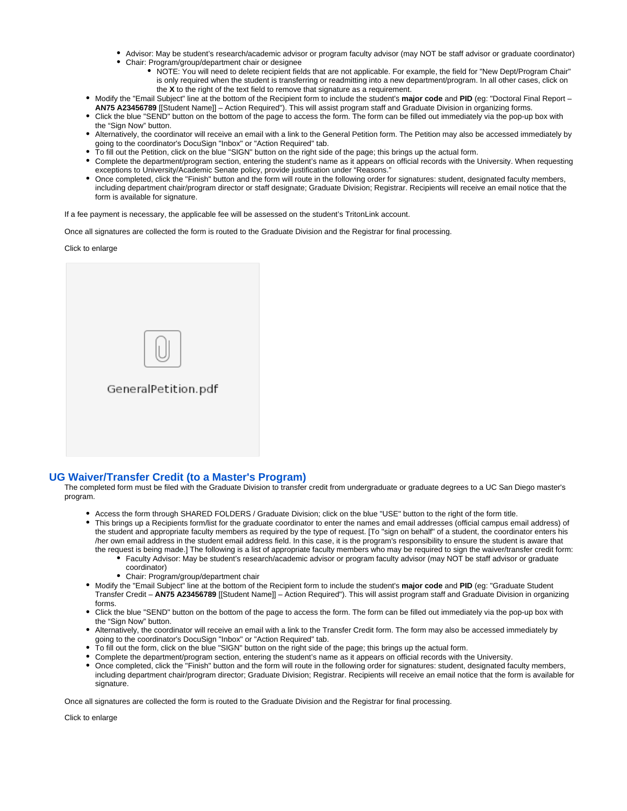- Advisor: May be student's research/academic advisor or program faculty advisor (may NOT be staff advisor or graduate coordinator)
- Chair: Program/group/department chair or designee
	- NOTE: You will need to delete recipient fields that are not applicable. For example, the field for "New Dept/Program Chair" is only required when the student is transferring or readmitting into a new department/program. In all other cases, click on the **X** to the right of the text field to remove that signature as a requirement.
- Modify the "Email Subject" line at the bottom of the Recipient form to include the student's **major code** and **PID** (eg: "Doctoral Final Report **AN75 A23456789** [[Student Name]] – Action Required"). This will assist program staff and Graduate Division in organizing forms.
- Click the blue "SEND" button on the bottom of the page to access the form. The form can be filled out immediately via the pop-up box with the "Sign Now" button.
- Alternatively, the coordinator will receive an email with a link to the General Petition form. The Petition may also be accessed immediately by going to the coordinator's DocuSign "Inbox" or "Action Required" tab.
- To fill out the Petition, click on the blue "SIGN" button on the right side of the page; this brings up the actual form.
- Complete the department/program section, entering the student's name as it appears on official records with the University. When requesting exceptions to University/Academic Senate policy, provide justification under "Reasons."
- Once completed, click the "Finish" button and the form will route in the following order for signatures: student, designated faculty members, including department chair/program director or staff designate; Graduate Division; Registrar. Recipients will receive an email notice that the form is available for signature.

If a fee payment is necessary, the applicable fee will be assessed on the student's TritonLink account.

Once all signatures are collected the form is routed to the Graduate Division and the Registrar for final processing.

Click to enlarge

| GeneralPetition.pdf |  |
|---------------------|--|
|                     |  |
|                     |  |

### **[UG Waiver/Transfer Credit \(to a Master's Program\)](https://app.docusign.com/templates?view=shared&folder=60c1d54c-1487-4c58-bbbe-99a6d77d55f1)**

The completed form must be filed with the Graduate Division to transfer credit from undergraduate or graduate degrees to a UC San Diego master's program.

- Access the form through SHARED FOLDERS / Graduate Division; click on the blue "USE" button to the right of the form title.
- This brings up a Recipients form/list for the graduate coordinator to enter the names and email addresses (official campus email address) of the student and appropriate faculty members as required by the type of request. [To "sign on behalf" of a student, the coordinator enters his /her own email address in the student email address field. In this case, it is the program's responsibility to ensure the student is aware that the request is being made.] The following is a list of appropriate faculty members who may be required to sign the waiver/transfer credit form:
	- Faculty Advisor: May be student's research/academic advisor or program faculty advisor (may NOT be staff advisor or graduate coordinator)
	- Chair: Program/group/department chair
- Modify the "Email Subject" line at the bottom of the Recipient form to include the student's **major code** and **PID** (eg: "Graduate Student Transfer Credit – **AN75 A23456789** [[Student Name]] – Action Required"). This will assist program staff and Graduate Division in organizing forms.
- Click the blue "SEND" button on the bottom of the page to access the form. The form can be filled out immediately via the pop-up box with the "Sign Now" button.
- Alternatively, the coordinator will receive an email with a link to the Transfer Credit form. The form may also be accessed immediately by going to the coordinator's DocuSign "Inbox" or "Action Required" tab.
- To fill out the form, click on the blue "SIGN" button on the right side of the page; this brings up the actual form.
- Complete the department/program section, entering the student's name as it appears on official records with the University.
- Once completed, click the "Finish" button and the form will route in the following order for signatures: student, designated faculty members, including department chair/program director; Graduate Division; Registrar. Recipients will receive an email notice that the form is available for signature.

Once all signatures are collected the form is routed to the Graduate Division and the Registrar for final processing.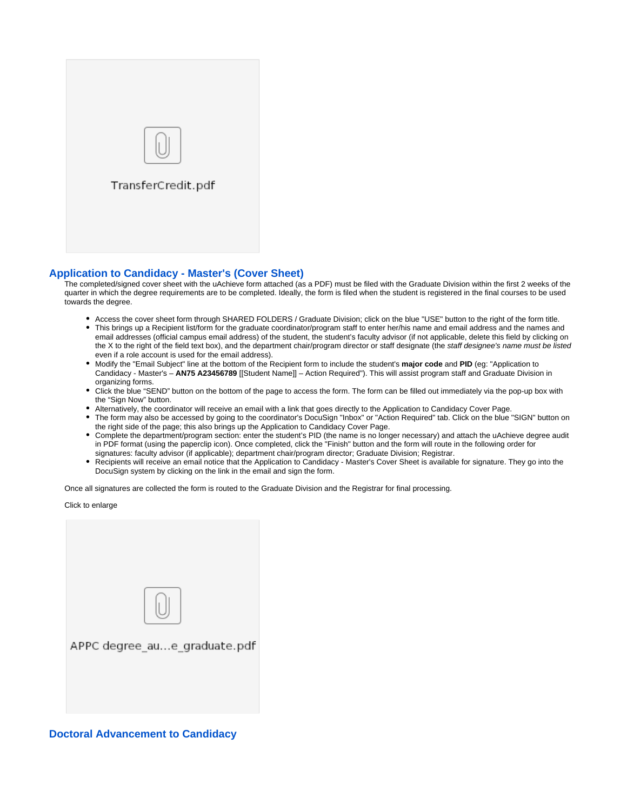

# **[Application to Candidacy - Master's \(Cover Sheet\)](https://app.docusign.com/templates?view=shared&folder=60c1d54c-1487-4c58-bbbe-99a6d77d55f1)**

The completed/signed cover sheet with the uAchieve form attached (as a PDF) must be filed with the Graduate Division within the first 2 weeks of the quarter in which the degree requirements are to be completed. Ideally, the form is filed when the student is registered in the final courses to be used towards the degree.

- Access the cover sheet form through SHARED FOLDERS / Graduate Division; click on the blue "USE" button to the right of the form title.
- This brings up a Recipient list/form for the graduate coordinator/program staff to enter her/his name and email address and the names and email addresses (official campus email address) of the student, the student's faculty advisor (if not applicable, delete this field by clicking on the X to the right of the field text box), and the department chair/program director or staff designate (the staff designee's name must be listed even if a role account is used for the email address).
- Modify the "Email Subject" line at the bottom of the Recipient form to include the student's **major code** and **PID** (eg: "Application to  $\bullet$ Candidacy - Master's – **AN75 A23456789** [[Student Name]] – Action Required"). This will assist program staff and Graduate Division in organizing forms.
- $\bullet$ Click the blue "SEND" button on the bottom of the page to access the form. The form can be filled out immediately via the pop-up box with the "Sign Now" button.
- Alternatively, the coordinator will receive an email with a link that goes directly to the Application to Candidacy Cover Page.
- The form may also be accessed by going to the coordinator's DocuSign "Inbox" or "Action Required" tab. Click on the blue "SIGN" button on the right side of the page; this also brings up the Application to Candidacy Cover Page.
- Complete the department/program section: enter the student's PID (the name is no longer necessary) and attach the uAchieve degree audit in PDF format (using the paperclip icon). Once completed, click the "Finish" button and the form will route in the following order for signatures: faculty advisor (if applicable); department chair/program director; Graduate Division; Registrar.
- $\bullet$ Recipients will receive an email notice that the Application to Candidacy - Master's Cover Sheet is available for signature. They go into the DocuSign system by clicking on the link in the email and sign the form.

Once all signatures are collected the form is routed to the Graduate Division and the Registrar for final processing.

Click to enlarge

| APPC degree_aue_graduate.pdf |
|------------------------------|
|                              |
|                              |

### **[Doctoral Advancement to Candidacy](https://app.docusign.com/templates?view=shared&folder=60c1d54c-1487-4c58-bbbe-99a6d77d55f1)**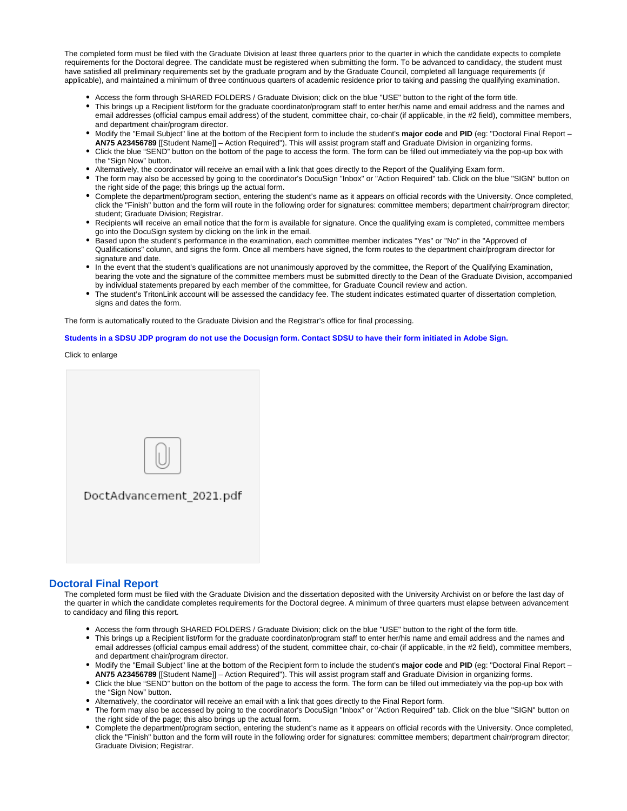The completed form must be filed with the Graduate Division at least three quarters prior to the quarter in which the candidate expects to complete requirements for the Doctoral degree. The candidate must be registered when submitting the form. To be advanced to candidacy, the student must have satisfied all preliminary requirements set by the graduate program and by the Graduate Council, completed all language requirements (if applicable), and maintained a minimum of three continuous quarters of academic residence prior to taking and passing the qualifying examination.

- Access the form through SHARED FOLDERS / Graduate Division; click on the blue "USE" button to the right of the form title.
- This brings up a Recipient list/form for the graduate coordinator/program staff to enter her/his name and email address and the names and email addresses (official campus email address) of the student, committee chair, co-chair (if applicable, in the #2 field), committee members, and department chair/program director.
- Modify the "Email Subject" line at the bottom of the Recipient form to include the student's **major code** and **PID** (eg: "Doctoral Final Report **AN75 A23456789** [[Student Name]] – Action Required"). This will assist program staff and Graduate Division in organizing forms.
- Click the blue "SEND" button on the bottom of the page to access the form. The form can be filled out immediately via the pop-up box with the "Sign Now" button.
- Alternatively, the coordinator will receive an email with a link that goes directly to the Report of the Qualifying Exam form.
- The form may also be accessed by going to the coordinator's DocuSign "Inbox" or "Action Required" tab. Click on the blue "SIGN" button on the right side of the page; this brings up the actual form.
- Complete the department/program section, entering the student's name as it appears on official records with the University. Once completed, click the "Finish" button and the form will route in the following order for signatures: committee members; department chair/program director; student; Graduate Division; Registrar.
- Recipients will receive an email notice that the form is available for signature. Once the qualifying exam is completed, committee members go into the DocuSign system by clicking on the link in the email.
- Based upon the student's performance in the examination, each committee member indicates "Yes" or "No" in the "Approved of Qualifications" column, and signs the form. Once all members have signed, the form routes to the department chair/program director for signature and date.
- In the event that the student's qualifications are not unanimously approved by the committee, the Report of the Qualifying Examination, bearing the vote and the signature of the committee members must be submitted directly to the Dean of the Graduate Division, accompanied by individual statements prepared by each member of the committee, for Graduate Council review and action.
- The student's TritonLink account will be assessed the candidacy fee. The student indicates estimated quarter of dissertation completion, signs and dates the form.

The form is automatically routed to the Graduate Division and the Registrar's office for final processing.

**Students in a SDSU JDP program do not use the Docusign form. Contact SDSU to have their form initiated in Adobe Sign.**

Click to enlarge



# **[Doctoral Final Report](https://app.docusign.com/templates?view=shared&folder=60c1d54c-1487-4c58-bbbe-99a6d77d55f1)**

The completed form must be filed with the Graduate Division and the dissertation deposited with the University Archivist on or before the last day of the quarter in which the candidate completes requirements for the Doctoral degree. A minimum of three quarters must elapse between advancement to candidacy and filing this report.

- Access the form through SHARED FOLDERS / Graduate Division; click on the blue "USE" button to the right of the form title.
- This brings up a Recipient list/form for the graduate coordinator/program staff to enter her/his name and email address and the names and email addresses (official campus email address) of the student, committee chair, co-chair (if applicable, in the #2 field), committee members, and department chair/program director.
- Modify the "Email Subject" line at the bottom of the Recipient form to include the student's **major code** and **PID** (eg: "Doctoral Final Report **AN75 A23456789** [[Student Name]] – Action Required"). This will assist program staff and Graduate Division in organizing forms.
- Click the blue "SEND" button on the bottom of the page to access the form. The form can be filled out immediately via the pop-up box with the "Sign Now" button.
- Alternatively, the coordinator will receive an email with a link that goes directly to the Final Report form.
- The form may also be accessed by going to the coordinator's DocuSign "Inbox" or "Action Required" tab. Click on the blue "SIGN" button on the right side of the page; this also brings up the actual form.
- Complete the department/program section, entering the student's name as it appears on official records with the University. Once completed, click the "Finish" button and the form will route in the following order for signatures: committee members; department chair/program director; Graduate Division; Registrar.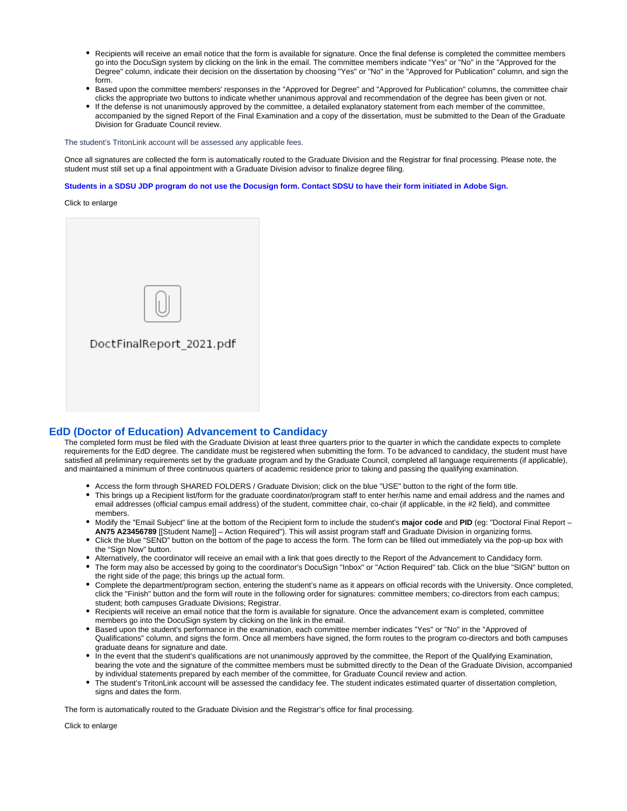- Recipients will receive an email notice that the form is available for signature. Once the final defense is completed the committee members go into the DocuSign system by clicking on the link in the email. The committee members indicate "Yes" or "No" in the "Approved for the Degree" column, indicate their decision on the dissertation by choosing "Yes" or "No" in the "Approved for Publication" column, and sign the form.
- $\bullet$ Based upon the committee members' responses in the "Approved for Degree" and "Approved for Publication" columns, the committee chair clicks the appropriate two buttons to indicate whether unanimous approval and recommendation of the degree has been given or not.
- If the defense is not unanimously approved by the committee, a detailed explanatory statement from each member of the committee, accompanied by the signed Report of the Final Examination and a copy of the dissertation, must be submitted to the Dean of the Graduate Division for Graduate Council review.

The student's TritonLink account will be assessed any applicable fees.

Once all signatures are collected the form is automatically routed to the Graduate Division and the Registrar for final processing. Please note, the student must still set up a final appointment with a Graduate Division advisor to finalize degree filing.

**Students in a SDSU JDP program do not use the Docusign form. Contact SDSU to have their form initiated in Adobe Sign.**

Click to enlarge



### **[EdD \(Doctor of Education\) Advancement to Candidacy](https://app.docusign.com/templates?view=shared&folder=60c1d54c-1487-4c58-bbbe-99a6d77d55f1)**

The completed form must be filed with the Graduate Division at least three quarters prior to the quarter in which the candidate expects to complete requirements for the EdD degree. The candidate must be registered when submitting the form. To be advanced to candidacy, the student must have satisfied all preliminary requirements set by the graduate program and by the Graduate Council, completed all language requirements (if applicable), and maintained a minimum of three continuous quarters of academic residence prior to taking and passing the qualifying examination.

- Access the form through SHARED FOLDERS / Graduate Division; click on the blue "USE" button to the right of the form title.
- This brings up a Recipient list/form for the graduate coordinator/program staff to enter her/his name and email address and the names and email addresses (official campus email address) of the student, committee chair, co-chair (if applicable, in the #2 field), and committee members.
- Modify the "Email Subject" line at the bottom of the Recipient form to include the student's **major code** and **PID** (eg: "Doctoral Final Report **AN75 A23456789** [[Student Name]] – Action Required"). This will assist program staff and Graduate Division in organizing forms.
- Click the blue "SEND" button on the bottom of the page to access the form. The form can be filled out immediately via the pop-up box with the "Sign Now" button.
- Alternatively, the coordinator will receive an email with a link that goes directly to the Report of the Advancement to Candidacy form.
- The form may also be accessed by going to the coordinator's DocuSign "Inbox" or "Action Required" tab. Click on the blue "SIGN" button on the right side of the page; this brings up the actual form.
- Complete the department/program section, entering the student's name as it appears on official records with the University. Once completed, click the "Finish" button and the form will route in the following order for signatures: committee members; co-directors from each campus; student; both campuses Graduate Divisions; Registrar.
- Recipients will receive an email notice that the form is available for signature. Once the advancement exam is completed, committee members go into the DocuSign system by clicking on the link in the email.
- Based upon the student's performance in the examination, each committee member indicates "Yes" or "No" in the "Approved of Qualifications" column, and signs the form. Once all members have signed, the form routes to the program co-directors and both campuses graduate deans for signature and date.
- In the event that the student's qualifications are not unanimously approved by the committee, the Report of the Qualifying Examination, bearing the vote and the signature of the committee members must be submitted directly to the Dean of the Graduate Division, accompanied by individual statements prepared by each member of the committee, for Graduate Council review and action.
- The student's TritonLink account will be assessed the candidacy fee. The student indicates estimated quarter of dissertation completion, signs and dates the form.

The form is automatically routed to the Graduate Division and the Registrar's office for final processing.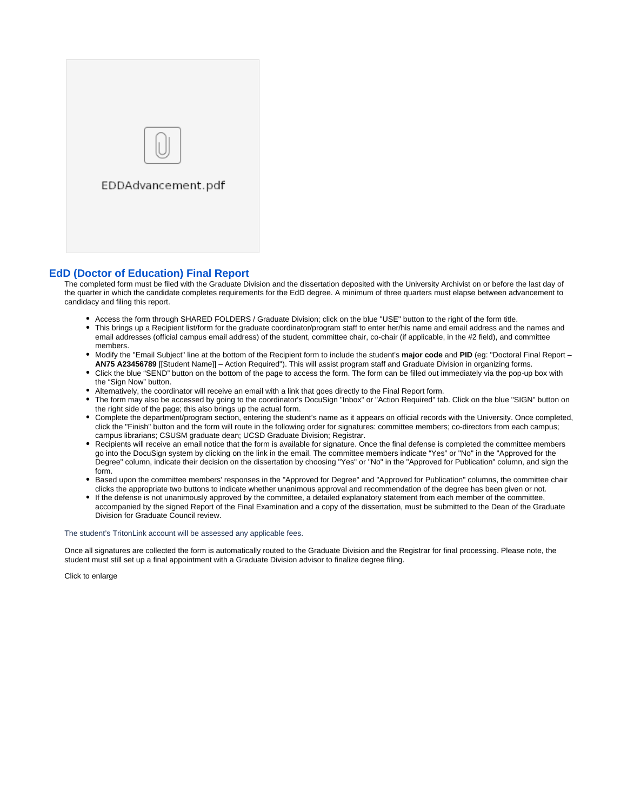

### **[EdD \(Doctor of Education\) Final Report](https://app.docusign.com/templates?view=shared&folder=60c1d54c-1487-4c58-bbbe-99a6d77d55f1)**

The completed form must be filed with the Graduate Division and the dissertation deposited with the University Archivist on or before the last day of the quarter in which the candidate completes requirements for the EdD degree. A minimum of three quarters must elapse between advancement to candidacy and filing this report.

- Access the form through SHARED FOLDERS / Graduate Division; click on the blue "USE" button to the right of the form title.
- This brings up a Recipient list/form for the graduate coordinator/program staff to enter her/his name and email address and the names and email addresses (official campus email address) of the student, committee chair, co-chair (if applicable, in the #2 field), and committee members.
- Modify the "Email Subject" line at the bottom of the Recipient form to include the student's **major code** and **PID** (eg: "Doctoral Final Report **AN75 A23456789** [[Student Name]] – Action Required"). This will assist program staff and Graduate Division in organizing forms.
- Click the blue "SEND" button on the bottom of the page to access the form. The form can be filled out immediately via the pop-up box with the "Sign Now" button.
- Alternatively, the coordinator will receive an email with a link that goes directly to the Final Report form.
- The form may also be accessed by going to the coordinator's DocuSign "Inbox" or "Action Required" tab. Click on the blue "SIGN" button on the right side of the page; this also brings up the actual form.
- Complete the department/program section, entering the student's name as it appears on official records with the University. Once completed, click the "Finish" button and the form will route in the following order for signatures: committee members; co-directors from each campus; campus librarians; CSUSM graduate dean; UCSD Graduate Division; Registrar.
- Recipients will receive an email notice that the form is available for signature. Once the final defense is completed the committee members go into the DocuSign system by clicking on the link in the email. The committee members indicate "Yes" or "No" in the "Approved for the Degree" column, indicate their decision on the dissertation by choosing "Yes" or "No" in the "Approved for Publication" column, and sign the form.
- Based upon the committee members' responses in the "Approved for Degree" and "Approved for Publication" columns, the committee chair clicks the appropriate two buttons to indicate whether unanimous approval and recommendation of the degree has been given or not.
- If the defense is not unanimously approved by the committee, a detailed explanatory statement from each member of the committee, accompanied by the signed Report of the Final Examination and a copy of the dissertation, must be submitted to the Dean of the Graduate Division for Graduate Council review.

#### The student's TritonLink account will be assessed any applicable fees.

Once all signatures are collected the form is automatically routed to the Graduate Division and the Registrar for final processing. Please note, the student must still set up a final appointment with a Graduate Division advisor to finalize degree filing.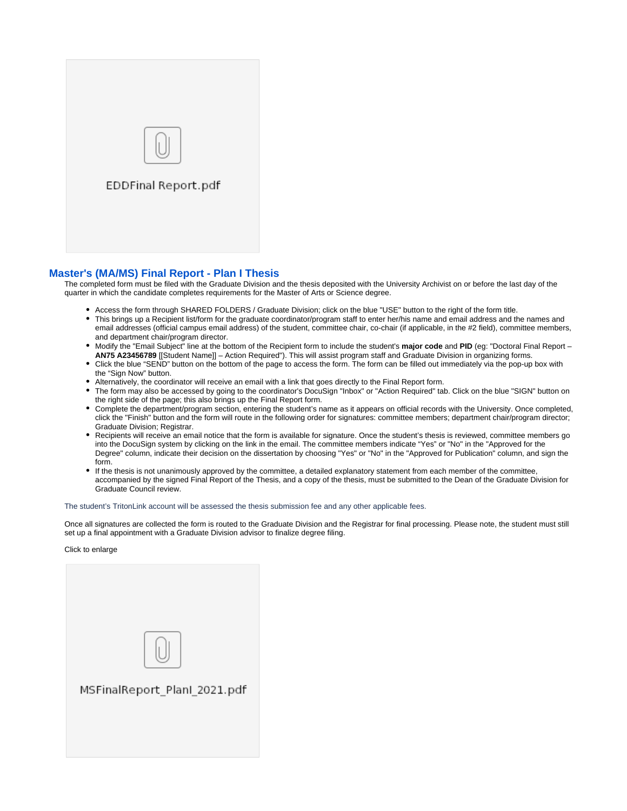

### **[Master's \(MA/MS\) Final Report - Plan I Thesis](https://app.docusign.com/templates?view=shared&folder=60c1d54c-1487-4c58-bbbe-99a6d77d55f1)**

The completed form must be filed with the Graduate Division and the thesis deposited with the University Archivist on or before the last day of the quarter in which the candidate completes requirements for the Master of Arts or Science degree.

- Access the form through SHARED FOLDERS / Graduate Division; click on the blue "USE" button to the right of the form title.
- This brings up a Recipient list/form for the graduate coordinator/program staff to enter her/his name and email address and the names and email addresses (official campus email address) of the student, committee chair, co-chair (if applicable, in the #2 field), committee members, and department chair/program director.
- Modify the "Email Subject" line at the bottom of the Recipient form to include the student's **major code** and **PID** (eg: "Doctoral Final Report **AN75 A23456789** [[Student Name]] – Action Required"). This will assist program staff and Graduate Division in organizing forms.
- $\bullet$ Click the blue "SEND" button on the bottom of the page to access the form. The form can be filled out immediately via the pop-up box with the "Sign Now" button.
- Alternatively, the coordinator will receive an email with a link that goes directly to the Final Report form.
- The form may also be accessed by going to the coordinator's DocuSign "Inbox" or "Action Required" tab. Click on the blue "SIGN" button on the right side of the page; this also brings up the Final Report form.
- Complete the department/program section, entering the student's name as it appears on official records with the University. Once completed, click the "Finish" button and the form will route in the following order for signatures: committee members; department chair/program director; Graduate Division; Registrar.
- Recipients will receive an email notice that the form is available for signature. Once the student's thesis is reviewed, committee members go into the DocuSign system by clicking on the link in the email. The committee members indicate "Yes" or "No" in the "Approved for the Degree" column, indicate their decision on the dissertation by choosing "Yes" or "No" in the "Approved for Publication" column, and sign the form.
- If the thesis is not unanimously approved by the committee, a detailed explanatory statement from each member of the committee, accompanied by the signed Final Report of the Thesis, and a copy of the thesis, must be submitted to the Dean of the Graduate Division for Graduate Council review.

The student's TritonLink account will be assessed the thesis submission fee and any other applicable fees.

Once all signatures are collected the form is routed to the Graduate Division and the Registrar for final processing. Please note, the student must still set up a final appointment with a Graduate Division advisor to finalize degree filing.

| MSFinalReport_PlanI_2021.pdf |
|------------------------------|
|                              |
|                              |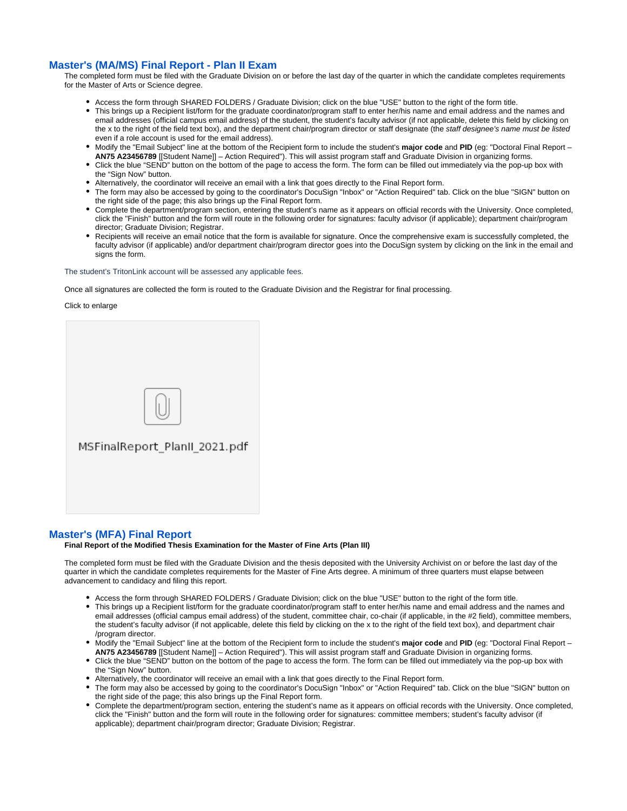## **[Master's \(MA/MS\) Final Report - Plan II Exam](https://app.docusign.com/templates?view=shared&folder=60c1d54c-1487-4c58-bbbe-99a6d77d55f1)**

The completed form must be filed with the Graduate Division on or before the last day of the quarter in which the candidate completes requirements for the Master of Arts or Science degree.

- Access the form through SHARED FOLDERS / Graduate Division; click on the blue "USE" button to the right of the form title.
- This brings up a Recipient list/form for the graduate coordinator/program staff to enter her/his name and email address and the names and email addresses (official campus email address) of the student, the student's faculty advisor (if not applicable, delete this field by clicking on the x to the right of the field text box), and the department chair/program director or staff designate (the staff designee's name must be listed even if a role account is used for the email address).
- Modify the "Email Subject" line at the bottom of the Recipient form to include the student's **major code** and **PID** (eg: "Doctoral Final Report **AN75 A23456789** [[Student Name]] – Action Required"). This will assist program staff and Graduate Division in organizing forms.
- Click the blue "SEND" button on the bottom of the page to access the form. The form can be filled out immediately via the pop-up box with the "Sign Now" button.
- Alternatively, the coordinator will receive an email with a link that goes directly to the Final Report form.
- The form may also be accessed by going to the coordinator's DocuSign "Inbox" or "Action Required" tab. Click on the blue "SIGN" button on the right side of the page; this also brings up the Final Report form.
- Complete the department/program section, entering the student's name as it appears on official records with the University. Once completed, click the "Finish" button and the form will route in the following order for signatures: faculty advisor (if applicable); department chair/program director: Graduate Division: Registrar.
- Recipients will receive an email notice that the form is available for signature. Once the comprehensive exam is successfully completed, the faculty advisor (if applicable) and/or department chair/program director goes into the DocuSign system by clicking on the link in the email and signs the form.

The student's TritonLink account will be assessed any applicable fees.

Once all signatures are collected the form is routed to the Graduate Division and the Registrar for final processing.

Click to enlarge



### **[Master's \(MFA\) Final Report](https://app.docusign.com/templates?view=shared&folder=60c1d54c-1487-4c58-bbbe-99a6d77d55f1)**

**Final Report of the Modified Thesis Examination for the Master of Fine Arts (Plan III)**

The completed form must be filed with the Graduate Division and the thesis deposited with the University Archivist on or before the last day of the quarter in which the candidate completes requirements for the Master of Fine Arts degree. A minimum of three quarters must elapse between advancement to candidacy and filing this report.

- Access the form through SHARED FOLDERS / Graduate Division; click on the blue "USE" button to the right of the form title.
- This brings up a Recipient list/form for the graduate coordinator/program staff to enter her/his name and email address and the names and email addresses (official campus email address) of the student, committee chair, co-chair (if applicable, in the #2 field), committee members, the student's faculty advisor (if not applicable, delete this field by clicking on the x to the right of the field text box), and department chair /program director.
- Modify the "Email Subject" line at the bottom of the Recipient form to include the student's **major code** and **PID** (eg: "Doctoral Final Report **AN75 A23456789** [[Student Name]] – Action Required"). This will assist program staff and Graduate Division in organizing forms.
- Click the blue "SEND" button on the bottom of the page to access the form. The form can be filled out immediately via the pop-up box with the "Sign Now" button.
- Alternatively, the coordinator will receive an email with a link that goes directly to the Final Report form.
- The form may also be accessed by going to the coordinator's DocuSign "Inbox" or "Action Required" tab. Click on the blue "SIGN" button on the right side of the page; this also brings up the Final Report form.
- Complete the department/program section, entering the student's name as it appears on official records with the University. Once completed, click the "Finish" button and the form will route in the following order for signatures: committee members; student's faculty advisor (if applicable); department chair/program director; Graduate Division; Registrar.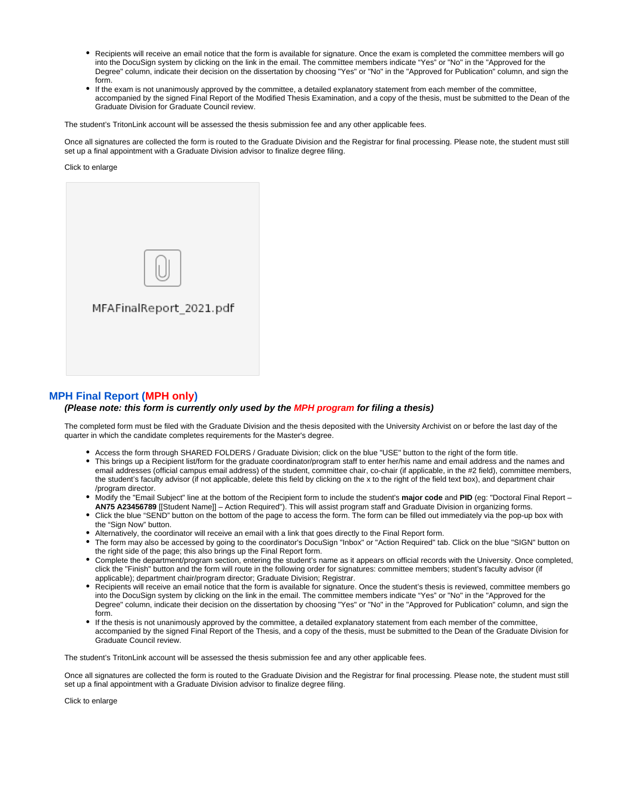- Recipients will receive an email notice that the form is available for signature. Once the exam is completed the committee members will go into the DocuSign system by clicking on the link in the email. The committee members indicate "Yes" or "No" in the "Approved for the Degree" column, indicate their decision on the dissertation by choosing "Yes" or "No" in the "Approved for Publication" column, and sign the form.
- $\bullet$ If the exam is not unanimously approved by the committee, a detailed explanatory statement from each member of the committee, accompanied by the signed Final Report of the Modified Thesis Examination, and a copy of the thesis, must be submitted to the Dean of the Graduate Division for Graduate Council review.

The student's TritonLink account will be assessed the thesis submission fee and any other applicable fees.

Once all signatures are collected the form is routed to the Graduate Division and the Registrar for final processing. Please note, the student must still set up a final appointment with a Graduate Division advisor to finalize degree filing.

Click to enlarge



## **[MPH Final Report \(MPH only\)](https://app.docusign.com/templates?view=shared&folder=60c1d54c-1487-4c58-bbbe-99a6d77d55f1)**

#### **(Please note: this form is currently only used by the MPH program for filing a thesis)**

The completed form must be filed with the Graduate Division and the thesis deposited with the University Archivist on or before the last day of the quarter in which the candidate completes requirements for the Master's degree.

- Access the form through SHARED FOLDERS / Graduate Division; click on the blue "USE" button to the right of the form title.
- This brings up a Recipient list/form for the graduate coordinator/program staff to enter her/his name and email address and the names and email addresses (official campus email address) of the student, committee chair, co-chair (if applicable, in the #2 field), committee members, the student's faculty advisor (if not applicable, delete this field by clicking on the x to the right of the field text box), and department chair /program director.
- Modify the "Email Subject" line at the bottom of the Recipient form to include the student's **major code** and **PID** (eg: "Doctoral Final Report **AN75 A23456789** [[Student Name]] – Action Required"). This will assist program staff and Graduate Division in organizing forms.
- Click the blue "SEND" button on the bottom of the page to access the form. The form can be filled out immediately via the pop-up box with the "Sign Now" button.
- Alternatively, the coordinator will receive an email with a link that goes directly to the Final Report form.
- The form may also be accessed by going to the coordinator's DocuSign "Inbox" or "Action Required" tab. Click on the blue "SIGN" button on the right side of the page; this also brings up the Final Report form.
- Complete the department/program section, entering the student's name as it appears on official records with the University. Once completed, click the "Finish" button and the form will route in the following order for signatures: committee members; student's faculty advisor (if applicable); department chair/program director; Graduate Division; Registrar.
- Recipients will receive an email notice that the form is available for signature. Once the student's thesis is reviewed, committee members go into the DocuSign system by clicking on the link in the email. The committee members indicate "Yes" or "No" in the "Approved for the Degree" column, indicate their decision on the dissertation by choosing "Yes" or "No" in the "Approved for Publication" column, and sign the form.
- If the thesis is not unanimously approved by the committee, a detailed explanatory statement from each member of the committee, accompanied by the signed Final Report of the Thesis, and a copy of the thesis, must be submitted to the Dean of the Graduate Division for Graduate Council review.

The student's TritonLink account will be assessed the thesis submission fee and any other applicable fees.

Once all signatures are collected the form is routed to the Graduate Division and the Registrar for final processing. Please note, the student must still set up a final appointment with a Graduate Division advisor to finalize degree filing.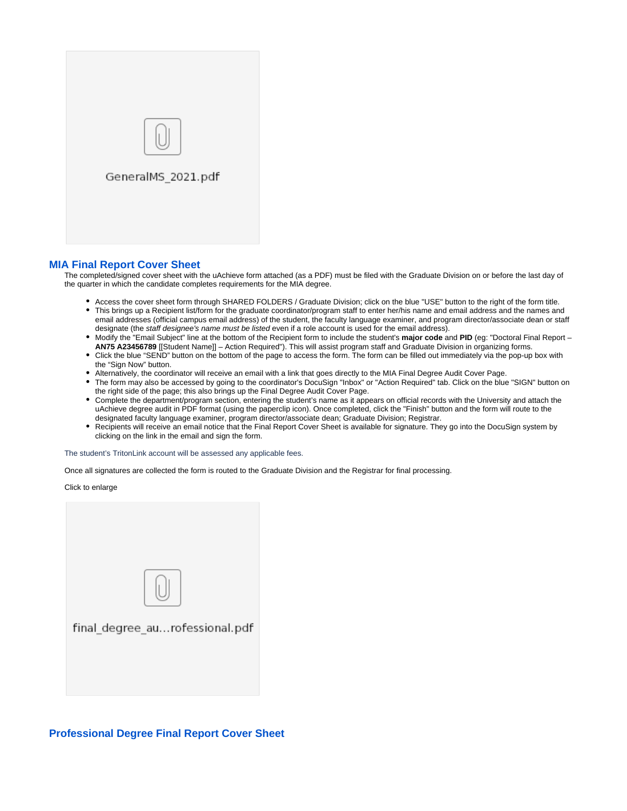

## **[MIA Final Report Cover Sheet](https://app.docusign.com/templates?view=shared&folder=60c1d54c-1487-4c58-bbbe-99a6d77d55f1)**

The completed/signed cover sheet with the uAchieve form attached (as a PDF) must be filed with the Graduate Division on or before the last day of the quarter in which the candidate completes requirements for the MIA degree.

- Access the cover sheet form through SHARED FOLDERS / Graduate Division; click on the blue "USE" button to the right of the form title.
- This brings up a Recipient list/form for the graduate coordinator/program staff to enter her/his name and email address and the names and email addresses (official campus email address) of the student, the faculty language examiner, and program director/associate dean or staff designate (the staff designee's name must be listed even if a role account is used for the email address).
- Modify the "Email Subject" line at the bottom of the Recipient form to include the student's **major code** and **PID** (eg: "Doctoral Final Report **AN75 A23456789** [[Student Name]] – Action Required"). This will assist program staff and Graduate Division in organizing forms.
- Click the blue "SEND" button on the bottom of the page to access the form. The form can be filled out immediately via the pop-up box with the "Sign Now" button.
- Alternatively, the coordinator will receive an email with a link that goes directly to the MIA Final Degree Audit Cover Page.
- The form may also be accessed by going to the coordinator's DocuSign "Inbox" or "Action Required" tab. Click on the blue "SIGN" button on the right side of the page; this also brings up the Final Degree Audit Cover Page.
- Complete the department/program section, entering the student's name as it appears on official records with the University and attach the uAchieve degree audit in PDF format (using the paperclip icon). Once completed, click the "Finish" button and the form will route to the designated faculty language examiner, program director/associate dean; Graduate Division; Registrar.
- Recipients will receive an email notice that the Final Report Cover Sheet is available for signature. They go into the DocuSign system by clicking on the link in the email and sign the form.

The student's TritonLink account will be assessed any applicable fees.

Once all signatures are collected the form is routed to the Graduate Division and the Registrar for final processing.

Click to enlarge



# **[Professional Degree Final Report Cover Sheet](https://app.docusign.com/templates?view=shared&folder=60c1d54c-1487-4c58-bbbe-99a6d77d55f1)**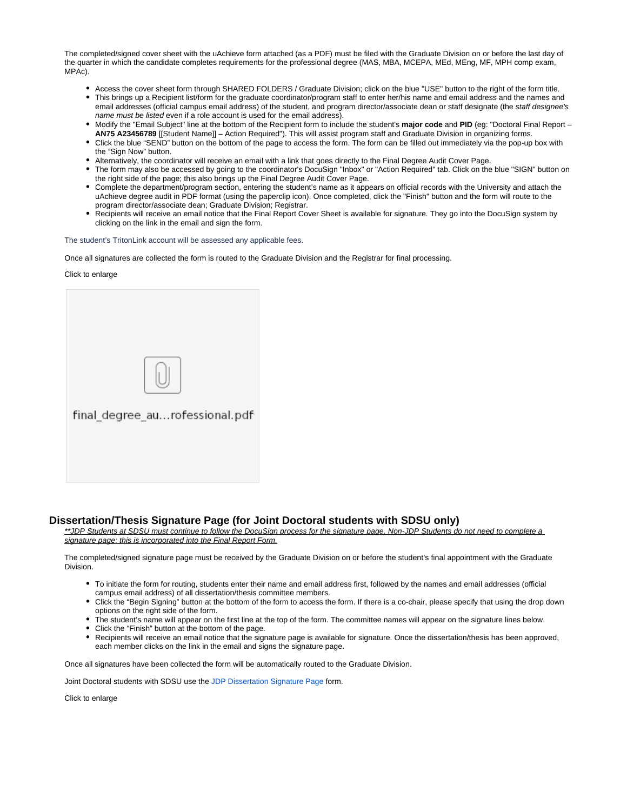The completed/signed cover sheet with the uAchieve form attached (as a PDF) must be filed with the Graduate Division on or before the last day of the quarter in which the candidate completes requirements for the professional degree (MAS, MBA, MCEPA, MEd, MEng, MF, MPH comp exam, MPAc).

- Access the cover sheet form through SHARED FOLDERS / Graduate Division; click on the blue "USE" button to the right of the form title.
- This brings up a Recipient list/form for the graduate coordinator/program staff to enter her/his name and email address and the names and email addresses (official campus email address) of the student, and program director/associate dean or staff designate (the staff designee's name must be listed even if a role account is used for the email address).
- Modify the "Email Subject" line at the bottom of the Recipient form to include the student's major code and PID (eg: "Doctoral Final Report **AN75 A23456789** [[Student Name]] – Action Required"). This will assist program staff and Graduate Division in organizing forms.
- Click the blue "SEND" button on the bottom of the page to access the form. The form can be filled out immediately via the pop-up box with the "Sign Now" button.
- Alternatively, the coordinator will receive an email with a link that goes directly to the Final Degree Audit Cover Page.
- The form may also be accessed by going to the coordinator's DocuSign "Inbox" or "Action Required" tab. Click on the blue "SIGN" button on the right side of the page; this also brings up the Final Degree Audit Cover Page.
- Complete the department/program section, entering the student's name as it appears on official records with the University and attach the uAchieve degree audit in PDF format (using the paperclip icon). Once completed, click the "Finish" button and the form will route to the program director/associate dean; Graduate Division; Registrar.
- Recipients will receive an email notice that the Final Report Cover Sheet is available for signature. They go into the DocuSign system by clicking on the link in the email and sign the form.

The student's TritonLink account will be assessed any applicable fees.

Once all signatures are collected the form is routed to the Graduate Division and the Registrar for final processing.

#### Click to enlarge

| final_degree_aurofessional.pdf |
|--------------------------------|
|                                |
|                                |

### **Dissertation/Thesis Signature Page (for Joint Doctoral students with SDSU only)**

\*\*JDP Students at SDSU must continue to follow the DocuSign process for the signature page. Non-JDP Students do not need to complete a signature page: this is incorporated into the Final Report Form.

The completed/signed signature page must be received by the Graduate Division on or before the student's final appointment with the Graduate **Division** 

- To initiate the form for routing, students enter their name and email address first, followed by the names and email addresses (official campus email address) of all dissertation/thesis committee members.
- Click the "Begin Signing" button at the bottom of the form to access the form. If there is a co-chair, please specify that using the drop down options on the right side of the form.
- The student's name will appear on the first line at the top of the form. The committee names will appear on the signature lines below.
- Click the "Finish" button at the bottom of the page.
- Recipients will receive an email notice that the signature page is available for signature. Once the dissertation/thesis has been approved, each member clicks on the link in the email and signs the signature page.

Once all signatures have been collected the form will be automatically routed to the Graduate Division.

Joint Doctoral students with SDSU use the [JDP Dissertation Signature Page](https://www.docusign.net/Member/PowerFormSigning.aspx?PowerFormId=a50298d8-aae9-4cdf-befd-eb70d79d133a&env=na1&acct=6371e373-11ff-4359-aa24-bf2ccbddc944&v=2) form.